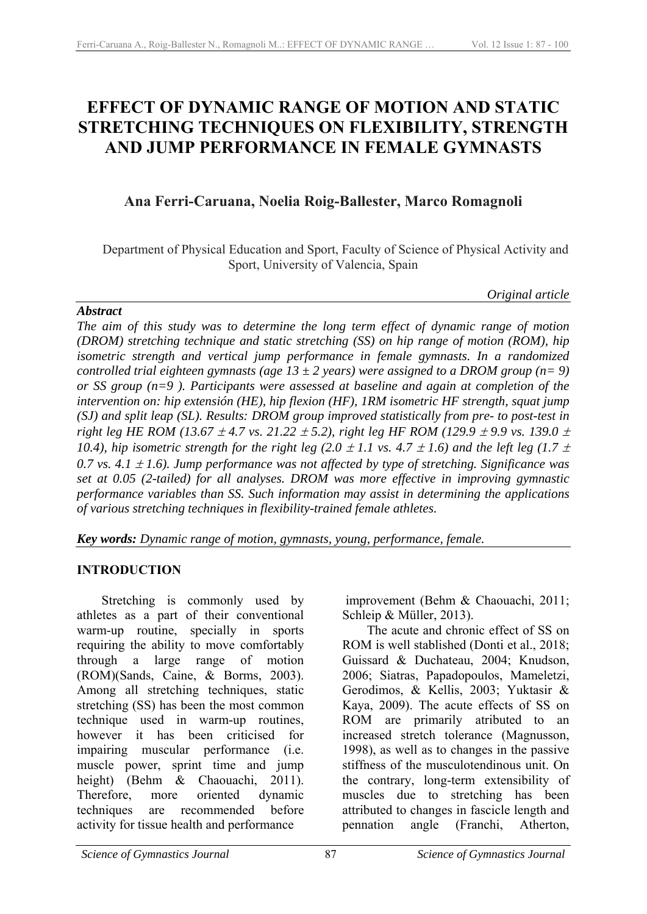# **EFFECT OF DYNAMIC RANGE OF MOTION AND STATIC STRETCHING TECHNIQUES ON FLEXIBILITY, STRENGTH AND JUMP PERFORMANCE IN FEMALE GYMNASTS**

## **Ana Ferri-Caruana, Noelia Roig-Ballester, Marco Romagnoli**

Department of Physical Education and Sport, Faculty of Science of Physical Activity and Sport, University of Valencia, Spain

#### *Original article*

### *Abstract*

*The aim of this study was to determine the long term effect of dynamic range of motion (DROM) stretching technique and static stretching (SS) on hip range of motion (ROM), hip isometric strength and vertical jump performance in female gymnasts. In a randomized controlled trial eighteen gymnasts (age 13*  $\pm$  *2 years) were assigned to a DROM group (n= 9) or SS group (n=9 ). Participants were assessed at baseline and again at completion of the intervention on: hip extensión (HE), hip flexion (HF), 1RM isometric HF strength, squat jump (SJ) and split leap (SL). Results: DROM group improved statistically from pre- to post-test in right leg HE ROM (13.67*  $\pm$  *4.7 vs. 21.22*  $\pm$  *5.2), right leg HF ROM (129.9*  $\pm$  *9.9 vs. 139.0*  $\pm$ *10.4), hip isometric strength for the right leg (2.0*  $\pm$  *1.1 vs. 4.7*  $\pm$  *1.6) and the left leg (1.7*  $\pm$ *)* 0.7 vs. 4.1  $\pm$  1.6). Jump performance was not affected by type of stretching. Significance was *set at 0.05 (2-tailed) for all analyses. DROM was more effective in improving gymnastic performance variables than SS. Such information may assist in determining the applications of various stretching techniques in flexibility-trained female athletes.* 

*Key words: Dynamic range of motion, gymnasts, young, performance, female.*

### **INTRODUCTION**

Stretching is commonly used by athletes as a part of their conventional warm-up routine, specially in sports requiring the ability to move comfortably through a large range of motion (ROM)(Sands, Caine, & Borms, 2003). Among all stretching techniques, static stretching (SS) has been the most common technique used in warm-up routines, however it has been criticised for impairing muscular performance (i.e. muscle power, sprint time and jump height) (Behm & Chaouachi, 2011). Therefore, more oriented dynamic techniques are recommended before activity for tissue health and performance

 improvement (Behm & Chaouachi, 2011; Schleip & Müller, 2013).

The acute and chronic effect of SS on ROM is well stablished (Donti et al., 2018; Guissard & Duchateau, 2004; Knudson, 2006; Siatras, Papadopoulos, Mameletzi, Gerodimos, & Kellis, 2003; Yuktasir & Kaya, 2009). The acute effects of SS on ROM are primarily atributed to an increased stretch tolerance (Magnusson, 1998), as well as to changes in the passive stiffness of the musculotendinous unit. On the contrary, long-term extensibility of muscles due to stretching has been attributed to changes in fascicle length and pennation angle (Franchi, Atherton,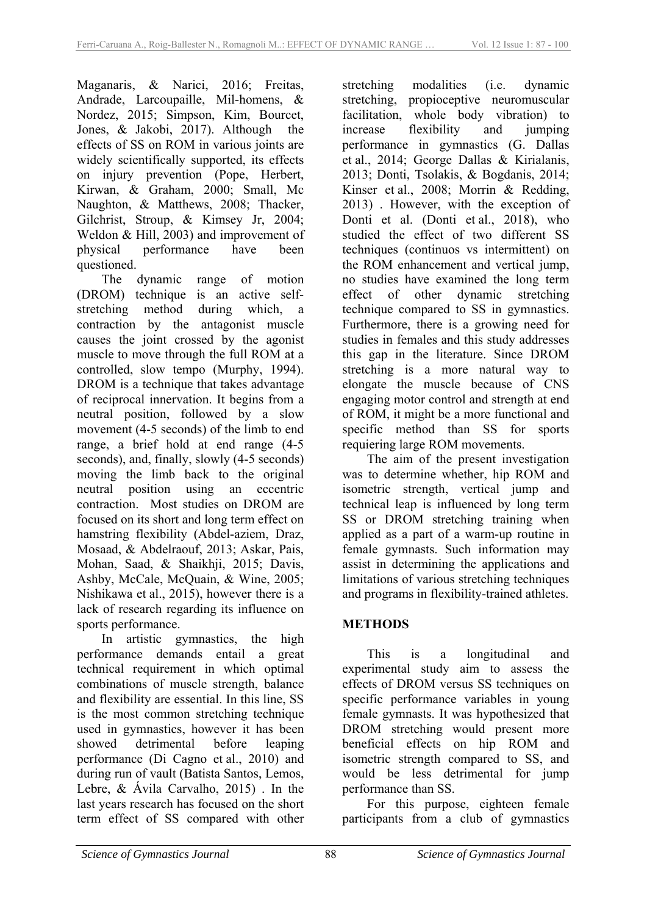Maganaris, & Narici, 2016; Freitas, Andrade, Larcoupaille, Mil-homens, & Nordez, 2015; Simpson, Kim, Bourcet, Jones, & Jakobi, 2017). Although the effects of SS on ROM in various joints are widely scientifically supported, its effects on injury prevention (Pope, Herbert, Kirwan, & Graham, 2000; Small, Mc Naughton, & Matthews, 2008; Thacker, Gilchrist, Stroup, & Kimsey Jr, 2004; Weldon & Hill, 2003) and improvement of physical performance have been questioned.

The dynamic range of motion (DROM) technique is an active selfstretching method during which, a contraction by the antagonist muscle causes the joint crossed by the agonist muscle to move through the full ROM at a controlled, slow tempo (Murphy, 1994). DROM is a technique that takes advantage of reciprocal innervation. It begins from a neutral position, followed by a slow movement (4-5 seconds) of the limb to end range, a brief hold at end range (4-5 seconds), and, finally, slowly (4-5 seconds) moving the limb back to the original neutral position using an eccentric contraction. Most studies on DROM are focused on its short and long term effect on hamstring flexibility (Abdel-aziem, Draz, Mosaad, & Abdelraouf, 2013; Askar, Pais, Mohan, Saad, & Shaikhji, 2015; Davis, Ashby, McCale, McQuain, & Wine, 2005; Nishikawa et al., 2015), however there is a lack of research regarding its influence on sports performance.

In artistic gymnastics, the high performance demands entail a great technical requirement in which optimal combinations of muscle strength, balance and flexibility are essential. In this line, SS is the most common stretching technique used in gymnastics, however it has been showed detrimental before leaping performance (Di Cagno et al., 2010) and during run of vault (Batista Santos, Lemos, Lebre, & Ávila Carvalho, 2015) . In the last years research has focused on the short term effect of SS compared with other

stretching modalities (i.e. dynamic stretching, propioceptive neuromuscular facilitation, whole body vibration) to increase flexibility and jumping performance in gymnastics (G. Dallas et al., 2014; George Dallas & Kirialanis, 2013; Donti, Tsolakis, & Bogdanis, 2014; Kinser et al., 2008; Morrin & Redding, 2013) . However, with the exception of Donti et al. (Donti et al., 2018), who studied the effect of two different SS techniques (continuos vs intermittent) on the ROM enhancement and vertical jump, no studies have examined the long term effect of other dynamic stretching technique compared to SS in gymnastics. Furthermore, there is a growing need for studies in females and this study addresses this gap in the literature. Since DROM stretching is a more natural way to elongate the muscle because of CNS engaging motor control and strength at end of ROM, it might be a more functional and specific method than SS for sports requiering large ROM movements.

The aim of the present investigation was to determine whether, hip ROM and isometric strength, vertical jump and technical leap is influenced by long term SS or DROM stretching training when applied as a part of a warm-up routine in female gymnasts. Such information may assist in determining the applications and limitations of various stretching techniques and programs in flexibility-trained athletes.

### **METHODS**

This is a longitudinal and experimental study aim to assess the effects of DROM versus SS techniques on specific performance variables in young female gymnasts. It was hypothesized that DROM stretching would present more beneficial effects on hip ROM and isometric strength compared to SS, and would be less detrimental for jump performance than SS.

For this purpose, eighteen female participants from a club of gymnastics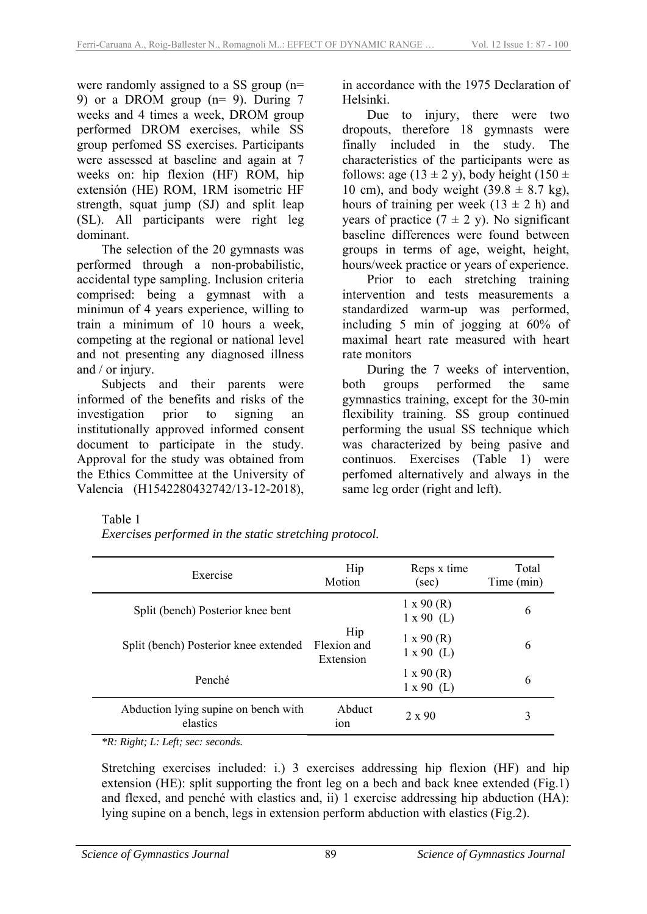were randomly assigned to a SS group (n= 9) or a DROM group (n= 9). During 7 weeks and 4 times a week, DROM group performed DROM exercises, while SS group perfomed SS exercises. Participants were assessed at baseline and again at 7 weeks on: hip flexion (HF) ROM, hip extensión (HE) ROM, 1RM isometric HF strength, squat jump (SJ) and split leap (SL). All participants were right leg dominant.

The selection of the 20 gymnasts was performed through a non-probabilistic, accidental type sampling. Inclusion criteria comprised: being a gymnast with a minimun of 4 years experience, willing to train a minimum of 10 hours a week, competing at the regional or national level and not presenting any diagnosed illness and / or injury.

Subjects and their parents were informed of the benefits and risks of the investigation prior to signing an institutionally approved informed consent document to participate in the study. Approval for the study was obtained from the Ethics Committee at the University of Valencia (H1542280432742/13-12-2018),

in accordance with the 1975 Declaration of Helsinki.

Due to injury, there were two dropouts, therefore 18 gymnasts were finally included in the study. The characteristics of the participants were as follows: age  $(13 \pm 2 \text{ y})$ , body height  $(150 \pm$ 10 cm), and body weight  $(39.8 \pm 8.7 \text{ kg})$ , hours of training per week  $(13 \pm 2 h)$  and years of practice  $(7 \pm 2 \text{ y})$ . No significant baseline differences were found between groups in terms of age, weight, height, hours/week practice or years of experience.

Prior to each stretching training intervention and tests measurements a standardized warm-up was performed, including 5 min of jogging at 60% of maximal heart rate measured with heart rate monitors

During the 7 weeks of intervention, both groups performed the same gymnastics training, except for the 30-min flexibility training. SS group continued performing the usual SS technique which was characterized by being pasive and continuos. Exercises (Table 1) were perfomed alternatively and always in the same leg order (right and left).

#### Table 1

*Exercises performed in the static stretching protocol.* 

| Exercise                                         | Hip<br>Motion                   | Reps x time<br>$(\sec)$                | Total<br>Time (min) |
|--------------------------------------------------|---------------------------------|----------------------------------------|---------------------|
| Split (bench) Posterior knee bent                |                                 | $1 \times 90$ (R)<br>$1 \times 90$ (L) | 6                   |
| Split (bench) Posterior knee extended            | Hip<br>Flexion and<br>Extension | $1 \times 90$ (R)<br>$1 \times 90$ (L) | 6                   |
| Penché                                           |                                 | $1 \times 90$ (R)<br>$1 \times 90$ (L) | 6                   |
| Abduction lying supine on bench with<br>elastics | Abduct<br>10 <sub>n</sub>       | $2 \times 90$                          | 3                   |

*\*R: Right; L: Left; sec: seconds.* 

Stretching exercises included: i.) 3 exercises addressing hip flexion (HF) and hip extension (HE): split supporting the front leg on a bech and back knee extended (Fig.1) and flexed, and penché with elastics and, ii) 1 exercise addressing hip abduction (HA): lying supine on a bench, legs in extension perform abduction with elastics (Fig.2).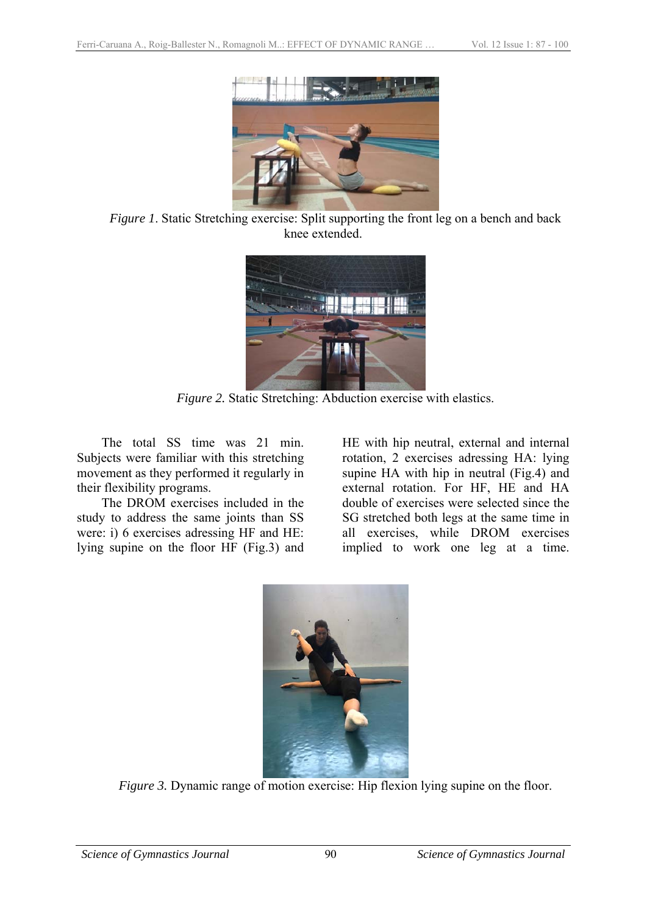

*Figure 1*. Static Stretching exercise: Split supporting the front leg on a bench and back knee extended.



*Figure 2.* Static Stretching: Abduction exercise with elastics.

The total SS time was 21 min. Subjects were familiar with this stretching movement as they performed it regularly in their flexibility programs.

The DROM exercises included in the study to address the same joints than SS were: i) 6 exercises adressing HF and HE: lying supine on the floor HF (Fig.3) and

HE with hip neutral, external and internal rotation, 2 exercises adressing HA: lying supine HA with hip in neutral (Fig.4) and external rotation. For HF, HE and HA double of exercises were selected since the SG stretched both legs at the same time in all exercises, while DROM exercises implied to work one leg at a time.



*Figure 3.* Dynamic range of motion exercise: Hip flexion lying supine on the floor.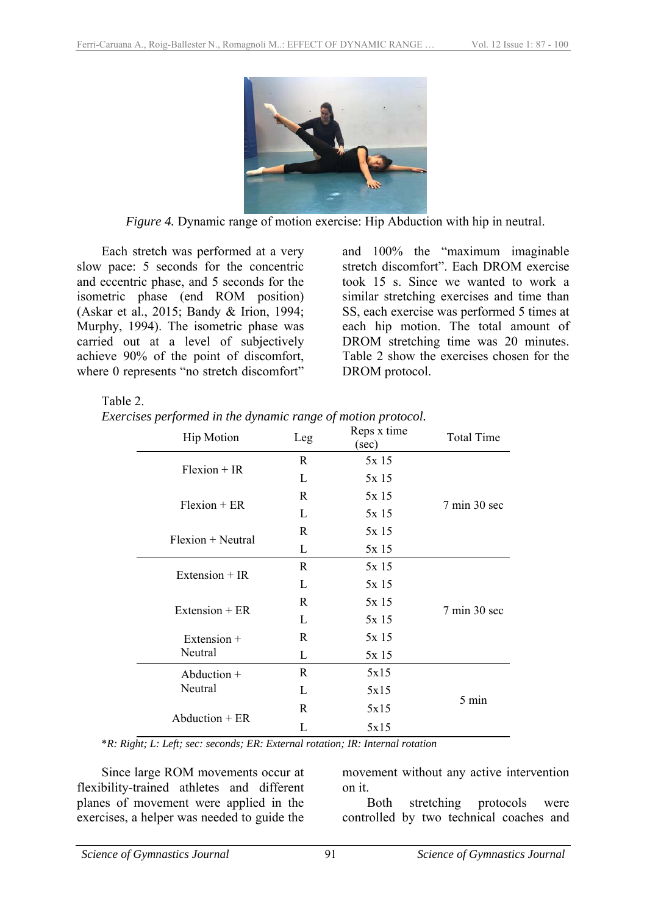

*Figure 4.* Dynamic range of motion exercise: Hip Abduction with hip in neutral.

Each stretch was performed at a very slow pace: 5 seconds for the concentric and eccentric phase, and 5 seconds for the isometric phase (end ROM position) (Askar et al., 2015; Bandy & Irion, 1994; Murphy, 1994). The isometric phase was carried out at a level of subjectively achieve 90% of the point of discomfort, where 0 represents "no stretch discomfort"

and 100% the "maximum imaginable stretch discomfort". Each DROM exercise took 15 s. Since we wanted to work a similar stretching exercises and time than SS, each exercise was performed 5 times at each hip motion. The total amount of DROM stretching time was 20 minutes. Table 2 show the exercises chosen for the DROM protocol.

#### Table 2.

*Exercises performed in the dynamic range of motion protocol.* 

|                     | <b>Hip Motion</b>        | Leg   | Reps x time<br>$(\sec)$         | <b>Total Time</b> |
|---------------------|--------------------------|-------|---------------------------------|-------------------|
| $Flexion + IR$      | R                        | 5x15  |                                 |                   |
|                     | L                        | 5x 15 |                                 |                   |
| $Flexion + ER$      | R                        | 5x15  | $7 \text{ min } 30 \text{ sec}$ |                   |
|                     | L                        | 5x15  |                                 |                   |
| $Flexion + Neutral$ | R                        | 5x15  |                                 |                   |
|                     | L                        | 5x 15 |                                 |                   |
| Extension $+ IR$    | R                        | 5x 15 |                                 |                   |
|                     | L                        | 5x 15 |                                 |                   |
| Extension $+ER$     | $\mathbf R$              | 5x 15 | $7 \text{ min } 30 \text{ sec}$ |                   |
|                     | L                        | 5x 15 |                                 |                   |
|                     | Extension $+$<br>Neutral | R     | 5x 15                           |                   |
|                     |                          | L     | 5x15                            |                   |
|                     | Abduction $+$            | R     | 5x15                            |                   |
| Neutral             | L                        | 5x15  |                                 |                   |
| $Abduction + ER$    | R                        | 5x15  | 5 min                           |                   |
|                     | L                        | 5x15  |                                 |                   |

\**R: Right; L: Left; sec: seconds; ER: External rotation; IR: Internal rotation*

Since large ROM movements occur at flexibility-trained athletes and different planes of movement were applied in the exercises, a helper was needed to guide the

movement without any active intervention on it.

Both stretching protocols were controlled by two technical coaches and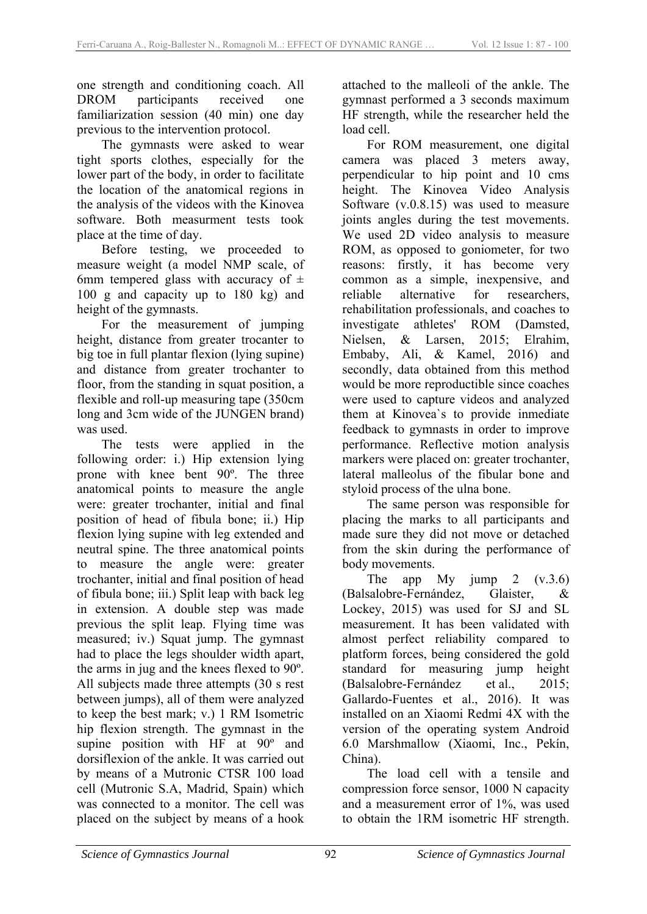one strength and conditioning coach. All DROM participants received one familiarization session (40 min) one day previous to the intervention protocol.

The gymnasts were asked to wear tight sports clothes, especially for the lower part of the body, in order to facilitate the location of the anatomical regions in the analysis of the videos with the Kinovea software. Both measurment tests took place at the time of day.

Before testing, we proceeded to measure weight (a model NMP scale, of 6mm tempered glass with accuracy of  $\pm$ 100 g and capacity up to 180 kg) and height of the gymnasts.

For the measurement of jumping height, distance from greater trocanter to big toe in full plantar flexion (lying supine) and distance from greater trochanter to floor, from the standing in squat position, a flexible and roll-up measuring tape (350cm long and 3cm wide of the JUNGEN brand) was used.

The tests were applied in the following order: i.) Hip extension lying prone with knee bent 90º. The three anatomical points to measure the angle were: greater trochanter, initial and final position of head of fibula bone; ii.) Hip flexion lying supine with leg extended and neutral spine. The three anatomical points to measure the angle were: greater trochanter, initial and final position of head of fibula bone; iii.) Split leap with back leg in extension. A double step was made previous the split leap. Flying time was measured; iv.) Squat jump. The gymnast had to place the legs shoulder width apart, the arms in jug and the knees flexed to 90º. All subjects made three attempts (30 s rest between jumps), all of them were analyzed to keep the best mark; v.) 1 RM Isometric hip flexion strength. The gymnast in the supine position with HF at 90<sup>°</sup> and dorsiflexion of the ankle. It was carried out by means of a Mutronic CTSR 100 load cell (Mutronic S.A, Madrid, Spain) which was connected to a monitor. The cell was placed on the subject by means of a hook

attached to the malleoli of the ankle. The gymnast performed a 3 seconds maximum HF strength, while the researcher held the load cell.

For ROM measurement, one digital camera was placed 3 meters away, perpendicular to hip point and 10 cms height. The Kinovea Video Analysis Software (v.0.8.15) was used to measure joints angles during the test movements. We used 2D video analysis to measure ROM, as opposed to goniometer, for two reasons: firstly, it has become very common as a simple, inexpensive, and reliable alternative for researchers, rehabilitation professionals, and coaches to investigate athletes' ROM (Damsted, Nielsen, & Larsen, 2015; Elrahim, Embaby, Ali, & Kamel, 2016) and secondly, data obtained from this method would be more reproductible since coaches were used to capture videos and analyzed them at Kinovea`s to provide inmediate feedback to gymnasts in order to improve performance. Reflective motion analysis markers were placed on: greater trochanter, lateral malleolus of the fibular bone and styloid process of the ulna bone.

The same person was responsible for placing the marks to all participants and made sure they did not move or detached from the skin during the performance of body movements.

The app My jump 2  $(v.3.6)$ (Balsalobre-Fernández, Glaister, & Lockey, 2015) was used for SJ and SL measurement. It has been validated with almost perfect reliability compared to platform forces, being considered the gold standard for measuring jump height (Balsalobre-Fernández et al., 2015; Gallardo-Fuentes et al., 2016). It was installed on an Xiaomi Redmi 4X with the version of the operating system Android 6.0 Marshmallow (Xiaomi, Inc., Pekín, China).

The load cell with a tensile and compression force sensor, 1000 N capacity and a measurement error of 1%, was used to obtain the 1RM isometric HF strength.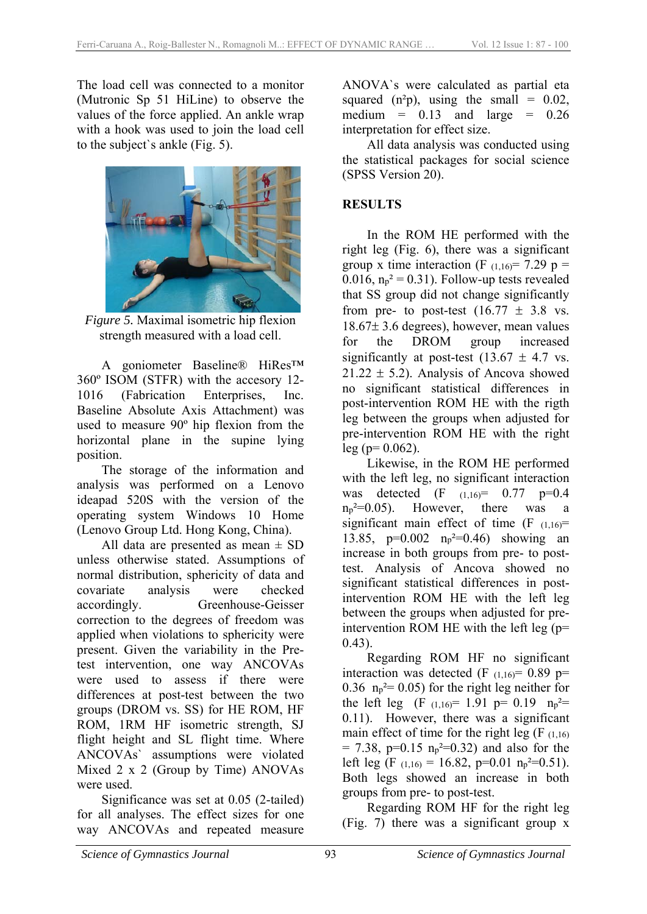The load cell was connected to a monitor (Mutronic Sp 51 HiLine) to observe the values of the force applied. An ankle wrap with a hook was used to join the load cell to the subject`s ankle (Fig. 5).



*Figure 5.* Maximal isometric hip flexion strength measured with a load cell.

A goniometer Baseline® HiRes™ 360º ISOM (STFR) with the accesory 12- 1016 (Fabrication Enterprises, Inc. Baseline Absolute Axis Attachment) was used to measure 90º hip flexion from the horizontal plane in the supine lying position.

The storage of the information and analysis was performed on a Lenovo ideapad 520S with the version of the operating system Windows 10 Home (Lenovo Group Ltd. Hong Kong, China).

All data are presented as mean  $\pm$  SD unless otherwise stated. Assumptions of normal distribution, sphericity of data and covariate analysis were checked accordingly. Greenhouse-Geisser correction to the degrees of freedom was applied when violations to sphericity were present. Given the variability in the Pretest intervention, one way ANCOVAs were used to assess if there were differences at post-test between the two groups (DROM vs. SS) for HE ROM, HF ROM, 1RM HF isometric strength, SJ flight height and SL flight time. Where ANCOVAs` assumptions were violated Mixed 2 x 2 (Group by Time) ANOVAs were used.

Significance was set at 0.05 (2-tailed) for all analyses. The effect sizes for one way ANCOVAs and repeated measure

ANOVA`s were calculated as partial eta squared  $(n^2p)$ , using the small = 0.02, medium  $= 0.13$  and large  $= 0.26$ interpretation for effect size.

All data analysis was conducted using the statistical packages for social science (SPSS Version 20).

### **RESULTS**

In the ROM HE performed with the right leg (Fig. 6), there was a significant group x time interaction (F  $(1,16)$ = 7.29 p = 0.016,  $n_p^2$  = 0.31). Follow-up tests revealed that SS group did not change significantly from pre- to post-test  $(16.77 \pm 3.8 \text{ vs.})$  $18.67 \pm 3.6$  degrees), however, mean values for the DROM group increased significantly at post-test  $(13.67 \pm 4.7 \text{ vs.})$  $21.22 \pm 5.2$ ). Analysis of Ancova showed no significant statistical differences in post-intervention ROM HE with the rigth leg between the groups when adjusted for pre-intervention ROM HE with the right  $leg (p= 0.062)$ .

Likewise, in the ROM HE performed with the left leg, no significant interaction was detected  $(F \t_{(1,16)} = 0.77 \t p=0.4$  $n_p^2=0.05$ ). However, there was a significant main effect of time  $(F_{(1,16)}=$ 13.85, p=0.002 np²=0.46) showing an increase in both groups from pre- to posttest. Analysis of Ancova showed no significant statistical differences in postintervention ROM HE with the left leg between the groups when adjusted for preintervention ROM HE with the left leg (p=  $(0.43)$ .

Regarding ROM HF no significant interaction was detected (F  $(1,16)$ = 0.89 p= 0.36  $n_p^2 = 0.05$  for the right leg neither for the left leg  $(F (1,16) = 1.91)$  p= 0.19 n<sub>p</sub><sup>2</sup>= 0.11). However, there was a significant main effect of time for the right leg  $(F_{(1,16)})$  $= 7.38$ , p=0.15 n<sub>p</sub><sup>2=0.32</sup>) and also for the left leg (F  $(1,16) = 16.82$ , p=0.01 n<sub>p</sub><sup>2=0.51).</sup> Both legs showed an increase in both groups from pre- to post-test.

Regarding ROM HF for the right leg (Fig. 7) there was a significant group x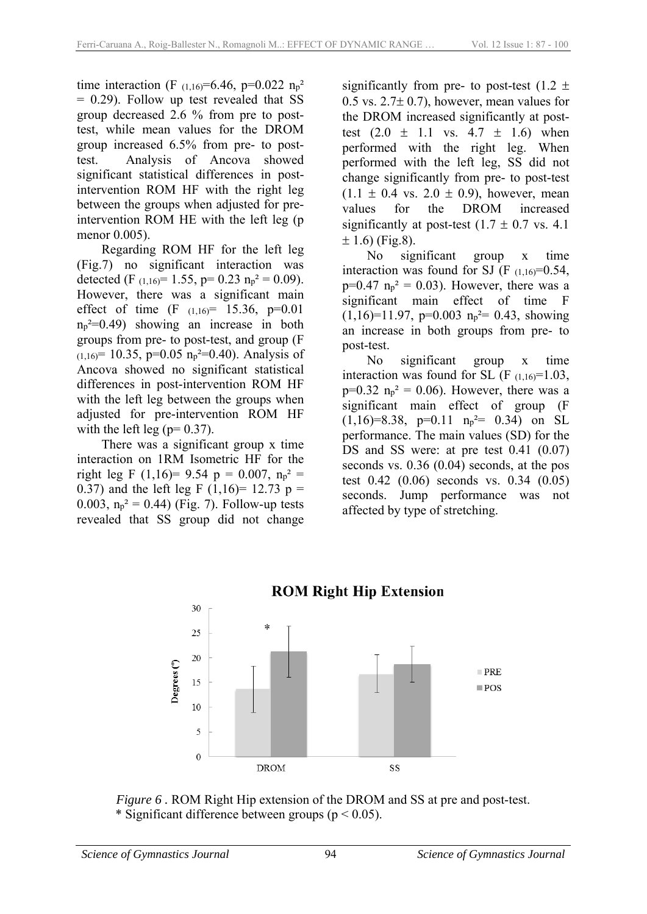time interaction (F  $(1,16) = 6.46$ , p=0.022 n<sub>p</sub><sup>2</sup>  $= 0.29$ ). Follow up test revealed that SS group decreased 2.6 % from pre to posttest, while mean values for the DROM group increased 6.5% from pre- to posttest. Analysis of Ancova showed significant statistical differences in postintervention ROM HF with the right leg between the groups when adjusted for preintervention ROM HE with the left leg (p menor 0.005).

Regarding ROM HF for the left leg (Fig.7) no significant interaction was detected (F  $_{(1,16)}$ = 1.55, p= 0.23  $n_p^2$  = 0.09). However, there was a significant main effect of time  $(F (1,16) = 15.36, p=0.01)$  $n_p^2=0.49$ ) showing an increase in both groups from pre- to post-test, and group (F  $(1,16)$  = 10.35, p=0.05  $n_p^2$  =0.40). Analysis of Ancova showed no significant statistical differences in post-intervention ROM HF with the left leg between the groups when adjusted for pre-intervention ROM HF with the left leg ( $p= 0.37$ ).

There was a significant group x time interaction on 1RM Isometric HF for the right leg F (1,16)= 9.54 p = 0.007,  $n_p^2$  = 0.37) and the left leg F  $(1,16)$ = 12.73 p = 0.003,  $n_p^2 = 0.44$ ) (Fig. 7). Follow-up tests revealed that SS group did not change

significantly from pre- to post-test  $(1.2 \pm$  $0.5$  vs.  $2.7 \pm 0.7$ ), however, mean values for the DROM increased significantly at posttest  $(2.0 \pm 1.1 \text{ vs. } 4.7 \pm 1.6)$  when performed with the right leg. When performed with the left leg, SS did not change significantly from pre- to post-test  $(1.1 \pm 0.4 \text{ vs. } 2.0 \pm 0.9)$ , however, mean values for the DROM increased significantly at post-test  $(1.7 \pm 0.7 \text{ vs. } 4.1)$  $\pm$  1.6) (Fig.8).

No significant group x time interaction was found for SJ (F  $(1,16) = 0.54$ ,  $p=0.47$   $n_p^2 = 0.03$ ). However, there was a significant main effect of time F  $(1,16)=11.97$ , p=0.003 n<sub>p</sub><sup>2</sup>= 0.43, showing an increase in both groups from pre- to post-test.

No significant group x time interaction was found for SL  $(F_{(1,16)}=1.03)$ ,  $p=0.32$   $n_p^2 = 0.06$ ). However, there was a significant main effect of group (F  $(1,16)=8.38$ ,  $p=0.11$   $n_p^2=0.34$ ) on SL performance. The main values (SD) for the DS and SS were: at pre test 0.41  $(0.07)$ seconds vs. 0.36 (0.04) seconds, at the pos test 0.42 (0.06) seconds vs. 0.34 (0.05) seconds. Jump performance was not affected by type of stretching.



*Figure 6 .* ROM Right Hip extension of the DROM and SS at pre and post-test. \* Significant difference between groups ( $p < 0.05$ ).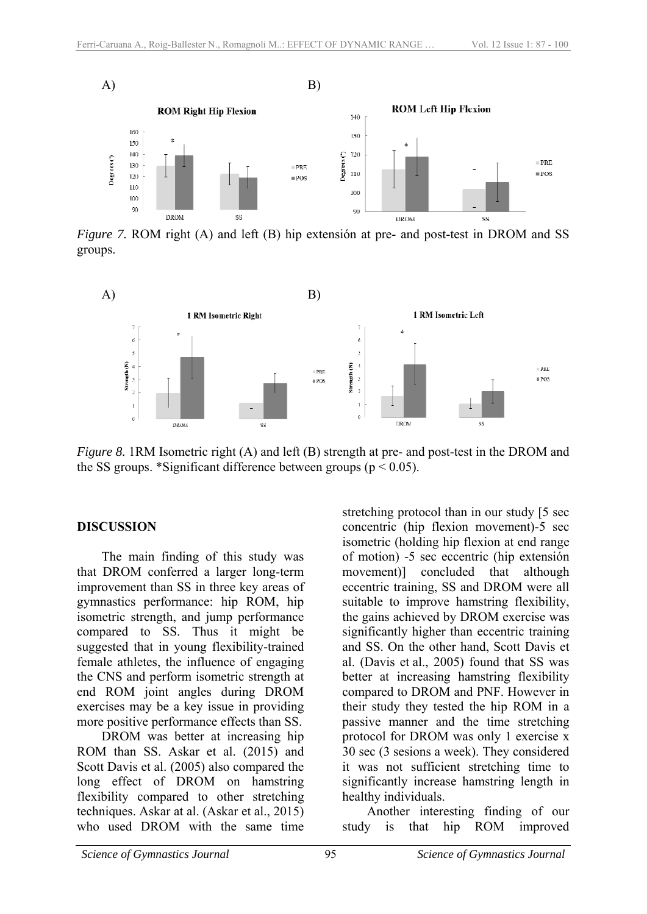

<sup>DROM</sup> SS<br>*Figure 7.* ROM right (A) and left (B) hip extension at pre- and post-test in DROM and SS groups.



*Figure 8.* 1RM Isometric right (A) and left (B) strength at pre- and post-test in the DROM and the SS groups. \*Significant difference between groups ( $p < 0.05$ ).

#### **DISCUSSION**

The main finding of this study was that DROM conferred a larger long-term improvement than SS in three key areas of gymnastics performance: hip ROM, hip isometric strength, and jump performance compared to SS. Thus it might be suggested that in young flexibility-trained female athletes, the influence of engaging the CNS and perform isometric strength at end ROM joint angles during DROM exercises may be a key issue in providing more positive performance effects than SS.

DROM was better at increasing hip ROM than SS. Askar et al. (2015) and Scott Davis et al. (2005) also compared the long effect of DROM on hamstring flexibility compared to other stretching techniques. Askar at al. (Askar et al., 2015) who used DROM with the same time

stretching protocol than in our study [5 sec concentric (hip flexion movement)-5 sec isometric (holding hip flexion at end range of motion) -5 sec eccentric (hip extensión movement)] concluded that although eccentric training, SS and DROM were all suitable to improve hamstring flexibility, the gains achieved by DROM exercise was significantly higher than eccentric training and SS. On the other hand, Scott Davis et al. (Davis et al., 2005) found that SS was better at increasing hamstring flexibility compared to DROM and PNF. However in their study they tested the hip ROM in a passive manner and the time stretching protocol for DROM was only 1 exercise x 30 sec (3 sesions a week). They considered it was not sufficient stretching time to significantly increase hamstring length in healthy individuals.

Another interesting finding of our study is that hip ROM improved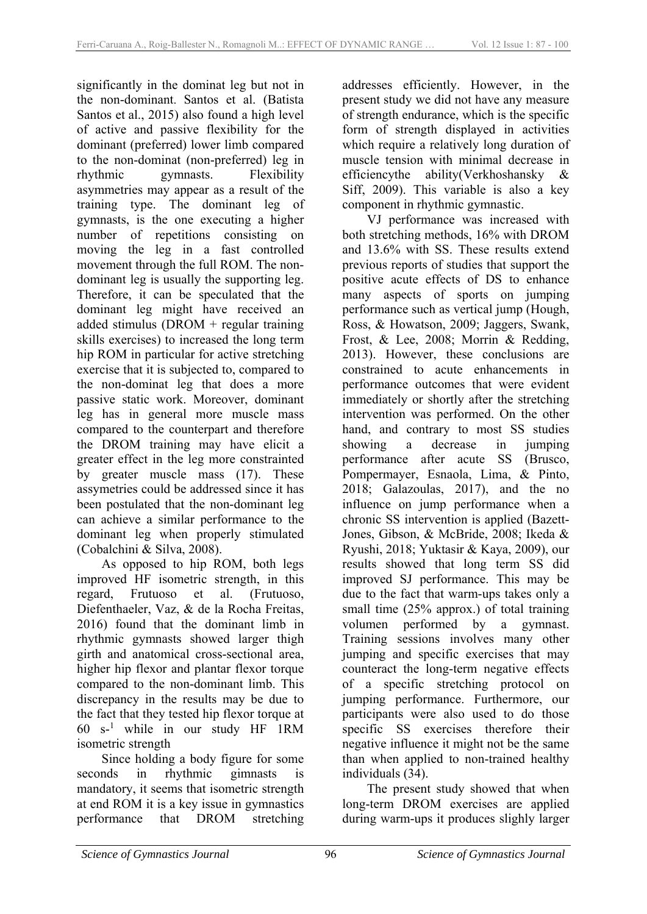significantly in the dominat leg but not in the non-dominant. Santos et al. (Batista Santos et al., 2015) also found a high level of active and passive flexibility for the dominant (preferred) lower limb compared to the non-dominat (non-preferred) leg in rhythmic gymnasts. Flexibility asymmetries may appear as a result of the training type. The dominant leg of gymnasts, is the one executing a higher number of repetitions consisting on moving the leg in a fast controlled movement through the full ROM. The nondominant leg is usually the supporting leg. Therefore, it can be speculated that the dominant leg might have received an added stimulus (DROM + regular training skills exercises) to increased the long term hip ROM in particular for active stretching exercise that it is subjected to, compared to the non-dominat leg that does a more passive static work. Moreover, dominant leg has in general more muscle mass compared to the counterpart and therefore the DROM training may have elicit a greater effect in the leg more constrainted by greater muscle mass (17). These assymetries could be addressed since it has been postulated that the non-dominant leg can achieve a similar performance to the dominant leg when properly stimulated (Cobalchini & Silva, 2008).

As opposed to hip ROM, both legs improved HF isometric strength, in this regard, Frutuoso et al. (Frutuoso, Diefenthaeler, Vaz, & de la Rocha Freitas, 2016) found that the dominant limb in rhythmic gymnasts showed larger thigh girth and anatomical cross-sectional area, higher hip flexor and plantar flexor torque compared to the non-dominant limb. This discrepancy in the results may be due to the fact that they tested hip flexor torque at 60 s-<sup>1</sup> while in our study HF 1RM isometric strength

Since holding a body figure for some seconds in rhythmic gimnasts is mandatory, it seems that isometric strength at end ROM it is a key issue in gymnastics performance that DROM stretching

addresses efficiently. However, in the present study we did not have any measure of strength endurance, which is the specific form of strength displayed in activities which require a relatively long duration of muscle tension with minimal decrease in efficiencythe ability(Verkhoshansky & Siff, 2009). This variable is also a key component in rhythmic gymnastic.

VJ performance was increased with both stretching methods, 16% with DROM and 13.6% with SS. These results extend previous reports of studies that support the positive acute effects of DS to enhance many aspects of sports on jumping performance such as vertical jump (Hough, Ross, & Howatson, 2009; Jaggers, Swank, Frost, & Lee, 2008; Morrin & Redding, 2013). However, these conclusions are constrained to acute enhancements in performance outcomes that were evident immediately or shortly after the stretching intervention was performed. On the other hand, and contrary to most SS studies showing a decrease in jumping performance after acute SS (Brusco, Pompermayer, Esnaola, Lima, & Pinto, 2018; Galazoulas, 2017), and the no influence on jump performance when a chronic SS intervention is applied (Bazett-Jones, Gibson, & McBride, 2008; Ikeda & Ryushi, 2018; Yuktasir & Kaya, 2009), our results showed that long term SS did improved SJ performance. This may be due to the fact that warm-ups takes only a small time (25% approx.) of total training volumen performed by a gymnast. Training sessions involves many other jumping and specific exercises that may counteract the long-term negative effects of a specific stretching protocol on jumping performance. Furthermore, our participants were also used to do those specific SS exercises therefore their negative influence it might not be the same than when applied to non-trained healthy individuals (34).

The present study showed that when long-term DROM exercises are applied during warm-ups it produces slighly larger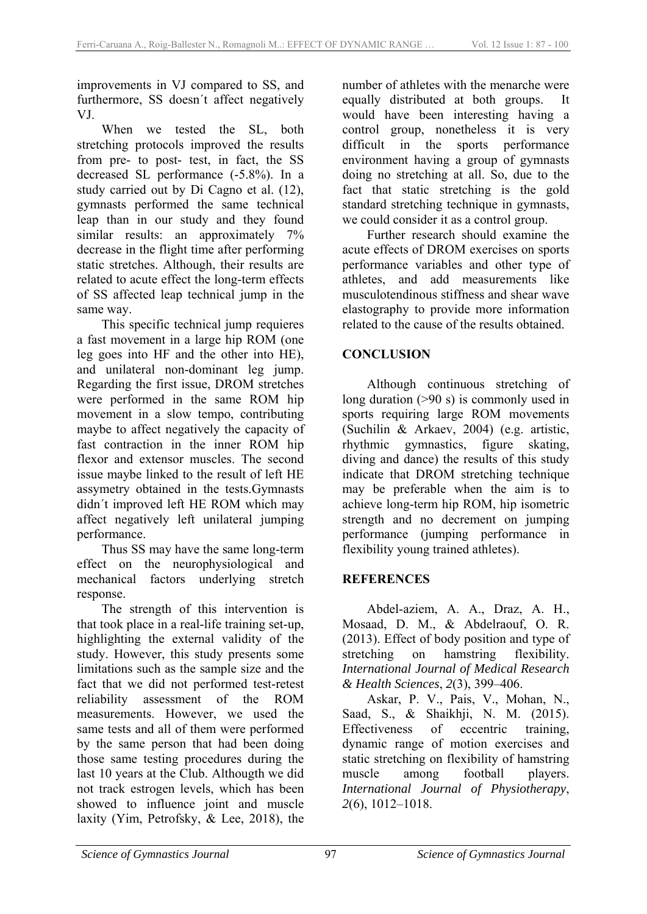improvements in VJ compared to SS, and furthermore, SS doesn´t affect negatively VJ.

When we tested the SL, both stretching protocols improved the results from pre- to post- test, in fact, the SS decreased SL performance (-5.8%). In a study carried out by Di Cagno et al. (12), gymnasts performed the same technical leap than in our study and they found similar results: an approximately 7% decrease in the flight time after performing static stretches. Although, their results are related to acute effect the long-term effects of SS affected leap technical jump in the same way.

This specific technical jump requieres a fast movement in a large hip ROM (one leg goes into HF and the other into HE), and unilateral non-dominant leg jump. Regarding the first issue, DROM stretches were performed in the same ROM hip movement in a slow tempo, contributing maybe to affect negatively the capacity of fast contraction in the inner ROM hip flexor and extensor muscles. The second issue maybe linked to the result of left HE assymetry obtained in the tests.Gymnasts didn´t improved left HE ROM which may affect negatively left unilateral jumping performance.

Thus SS may have the same long-term effect on the neurophysiological and mechanical factors underlying stretch response.

The strength of this intervention is that took place in a real-life training set-up, highlighting the external validity of the study. However, this study presents some limitations such as the sample size and the fact that we did not performed test-retest reliability assessment of the ROM measurements. However, we used the same tests and all of them were performed by the same person that had been doing those same testing procedures during the last 10 years at the Club. Althougth we did not track estrogen levels, which has been showed to influence joint and muscle laxity (Yim, Petrofsky, & Lee, 2018), the

number of athletes with the menarche were equally distributed at both groups. It would have been interesting having a control group, nonetheless it is very difficult in the sports performance environment having a group of gymnasts doing no stretching at all. So, due to the fact that static stretching is the gold standard stretching technique in gymnasts, we could consider it as a control group.

Further research should examine the acute effects of DROM exercises on sports performance variables and other type of athletes, and add measurements like musculotendinous stiffness and shear wave elastography to provide more information related to the cause of the results obtained.

### **CONCLUSION**

Although continuous stretching of long duration (>90 s) is commonly used in sports requiring large ROM movements (Suchilin & Arkaev, 2004) (e.g. artistic, rhythmic gymnastics, figure skating, diving and dance) the results of this study indicate that DROM stretching technique may be preferable when the aim is to achieve long-term hip ROM, hip isometric strength and no decrement on jumping performance (jumping performance in flexibility young trained athletes).

### **REFERENCES**

Abdel-aziem, A. A., Draz, A. H., Mosaad, D. M., & Abdelraouf, O. R. (2013). Effect of body position and type of stretching on hamstring flexibility. *International Journal of Medical Research & Health Sciences*, *2*(3), 399–406.

Askar, P. V., Pais, V., Mohan, N., Saad, S., & Shaikhji, N. M. (2015). Effectiveness of eccentric training, dynamic range of motion exercises and static stretching on flexibility of hamstring muscle among football players. *International Journal of Physiotherapy*, *2*(6), 1012–1018.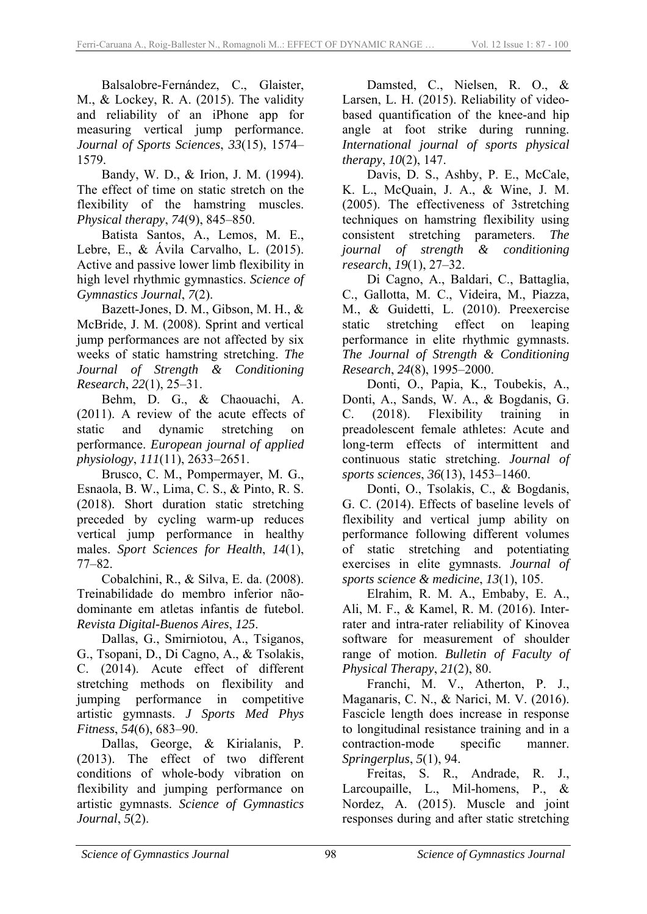Balsalobre-Fernández, C., Glaister, M., & Lockey, R. A. (2015). The validity and reliability of an iPhone app for measuring vertical jump performance. *Journal of Sports Sciences*, *33*(15), 1574– 1579.

Bandy, W. D., & Irion, J. M. (1994). The effect of time on static stretch on the flexibility of the hamstring muscles. *Physical therapy*, *74*(9), 845–850.

Batista Santos, A., Lemos, M. E., Lebre, E.,  $\&$  Ávila Carvalho, L. (2015). Active and passive lower limb flexibility in high level rhythmic gymnastics. *Science of Gymnastics Journal*, *7*(2).

Bazett-Jones, D. M., Gibson, M. H., & McBride, J. M. (2008). Sprint and vertical jump performances are not affected by six weeks of static hamstring stretching. *The Journal of Strength & Conditioning Research*, *22*(1), 25–31.

Behm, D. G., & Chaouachi, A. (2011). A review of the acute effects of static and dynamic stretching on performance. *European journal of applied physiology*, *111*(11), 2633–2651.

Brusco, C. M., Pompermayer, M. G., Esnaola, B. W., Lima, C. S., & Pinto, R. S. (2018). Short duration static stretching preceded by cycling warm-up reduces vertical jump performance in healthy males. *Sport Sciences for Health*, *14*(1), 77–82.

Cobalchini, R., & Silva, E. da. (2008). Treinabilidade do membro inferior nãodominante em atletas infantis de futebol. *Revista Digital-Buenos Aires*, *125*.

Dallas, G., Smirniotou, A., Tsiganos, G., Tsopani, D., Di Cagno, A., & Tsolakis, C. (2014). Acute effect of different stretching methods on flexibility and jumping performance in competitive artistic gymnasts. *J Sports Med Phys Fitness*, *54*(6), 683–90.

Dallas, George, & Kirialanis, P. (2013). The effect of two different conditions of whole-body vibration on flexibility and jumping performance on artistic gymnasts. *Science of Gymnastics Journal*, *5*(2).

Damsted, C., Nielsen, R. O., & Larsen, L. H. (2015). Reliability of videobased quantification of the knee-and hip angle at foot strike during running. *International journal of sports physical therapy*, *10*(2), 147.

Davis, D. S., Ashby, P. E., McCale, K. L., McQuain, J. A., & Wine, J. M. (2005). The effectiveness of 3stretching techniques on hamstring flexibility using consistent stretching parameters. *The journal of strength & conditioning research*, *19*(1), 27–32.

Di Cagno, A., Baldari, C., Battaglia, C., Gallotta, M. C., Videira, M., Piazza, M., & Guidetti, L. (2010). Preexercise static stretching effect on leaping performance in elite rhythmic gymnasts. *The Journal of Strength & Conditioning Research*, *24*(8), 1995–2000.

Donti, O., Papia, K., Toubekis, A., Donti, A., Sands, W. A., & Bogdanis, G. C. (2018). Flexibility training in preadolescent female athletes: Acute and long-term effects of intermittent and continuous static stretching. *Journal of sports sciences*, *36*(13), 1453–1460.

Donti, O., Tsolakis, C., & Bogdanis, G. C. (2014). Effects of baseline levels of flexibility and vertical jump ability on performance following different volumes of static stretching and potentiating exercises in elite gymnasts. *Journal of sports science & medicine*, *13*(1), 105.

Elrahim, R. M. A., Embaby, E. A., Ali, M. F., & Kamel, R. M. (2016). Interrater and intra-rater reliability of Kinovea software for measurement of shoulder range of motion. *Bulletin of Faculty of Physical Therapy*, *21*(2), 80.

Franchi, M. V., Atherton, P. J., Maganaris, C. N., & Narici, M. V. (2016). Fascicle length does increase in response to longitudinal resistance training and in a contraction-mode specific manner. *Springerplus*, *5*(1), 94.

Freitas, S. R., Andrade, R. J., Larcoupaille, L., Mil-homens, P., & Nordez, A. (2015). Muscle and joint responses during and after static stretching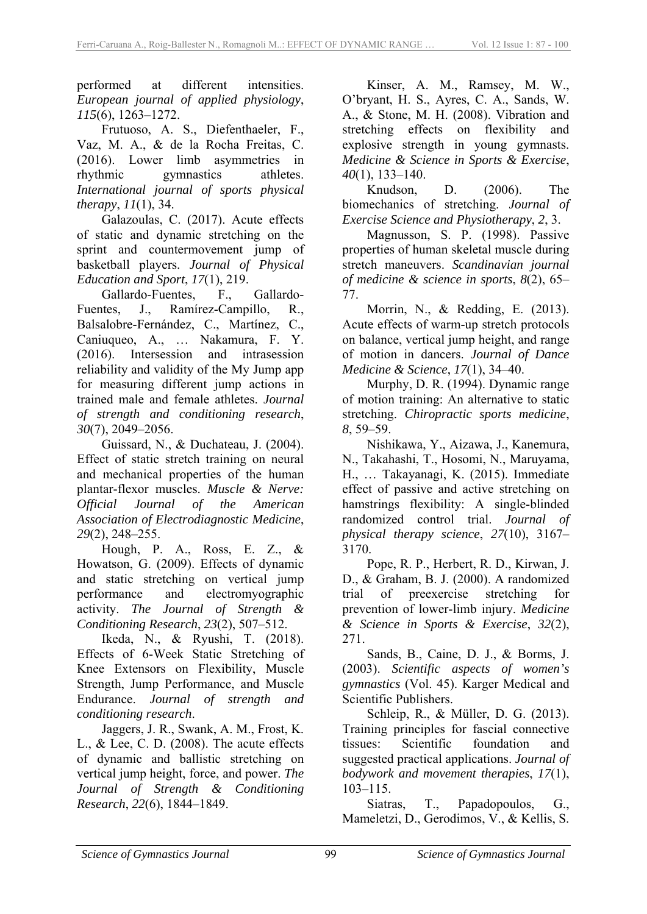performed at different intensities. *European journal of applied physiology*, *115*(6), 1263–1272.

Frutuoso, A. S., Diefenthaeler, F., Vaz, M. A., & de la Rocha Freitas, C. (2016). Lower limb asymmetries in rhythmic gymnastics athletes. *International journal of sports physical therapy*, *11*(1), 34.

Galazoulas, C. (2017). Acute effects of static and dynamic stretching on the sprint and countermovement jump of basketball players. *Journal of Physical Education and Sport*, *17*(1), 219.

Gallardo-Fuentes, F., Gallardo-Fuentes, J., Ramírez-Campillo, R., Balsalobre-Fernández, C., Martínez, C., Caniuqueo, A., … Nakamura, F. Y. (2016). Intersession and intrasession reliability and validity of the My Jump app for measuring different jump actions in trained male and female athletes. *Journal of strength and conditioning research*, *30*(7), 2049–2056.

Guissard, N., & Duchateau, J. (2004). Effect of static stretch training on neural and mechanical properties of the human plantar-flexor muscles. *Muscle & Nerve: Official Journal of the American Association of Electrodiagnostic Medicine*, *29*(2), 248–255.

Hough, P. A., Ross, E. Z., & Howatson, G. (2009). Effects of dynamic and static stretching on vertical jump performance and electromyographic activity. *The Journal of Strength & Conditioning Research*, *23*(2), 507–512.

Ikeda, N., & Ryushi, T. (2018). Effects of 6-Week Static Stretching of Knee Extensors on Flexibility, Muscle Strength, Jump Performance, and Muscle Endurance. *Journal of strength and conditioning research*.

Jaggers, J. R., Swank, A. M., Frost, K. L., & Lee, C. D. (2008). The acute effects of dynamic and ballistic stretching on vertical jump height, force, and power. *The Journal of Strength & Conditioning Research*, *22*(6), 1844–1849.

Kinser, A. M., Ramsey, M. W., O'bryant, H. S., Ayres, C. A., Sands, W. A., & Stone, M. H. (2008). Vibration and stretching effects on flexibility and explosive strength in young gymnasts. *Medicine & Science in Sports & Exercise*, *40*(1), 133–140.

Knudson, D. (2006). The biomechanics of stretching. *Journal of Exercise Science and Physiotherapy*, *2*, 3.

Magnusson, S. P. (1998). Passive properties of human skeletal muscle during stretch maneuvers. *Scandinavian journal of medicine & science in sports*, *8*(2), 65– 77.

Morrin, N., & Redding, E. (2013). Acute effects of warm-up stretch protocols on balance, vertical jump height, and range of motion in dancers. *Journal of Dance Medicine & Science*, *17*(1), 34–40.

Murphy, D. R. (1994). Dynamic range of motion training: An alternative to static stretching. *Chiropractic sports medicine*, *8*, 59–59.

Nishikawa, Y., Aizawa, J., Kanemura, N., Takahashi, T., Hosomi, N., Maruyama, H., … Takayanagi, K. (2015). Immediate effect of passive and active stretching on hamstrings flexibility: A single-blinded randomized control trial. *Journal of physical therapy science*, *27*(10), 3167– 3170.

Pope, R. P., Herbert, R. D., Kirwan, J. D., & Graham, B. J. (2000). A randomized trial of preexercise stretching prevention of lower-limb injury. *Medicine & Science in Sports & Exercise*, *32*(2), 271.

Sands, B., Caine, D. J., & Borms, J. (2003). *Scientific aspects of women's gymnastics* (Vol. 45). Karger Medical and Scientific Publishers.

Schleip, R., & Müller, D. G. (2013). Training principles for fascial connective tissues: Scientific foundation and suggested practical applications. *Journal of bodywork and movement therapies*, *17*(1), 103–115.

Siatras, T., Papadopoulos, G., Mameletzi, D., Gerodimos, V., & Kellis, S.